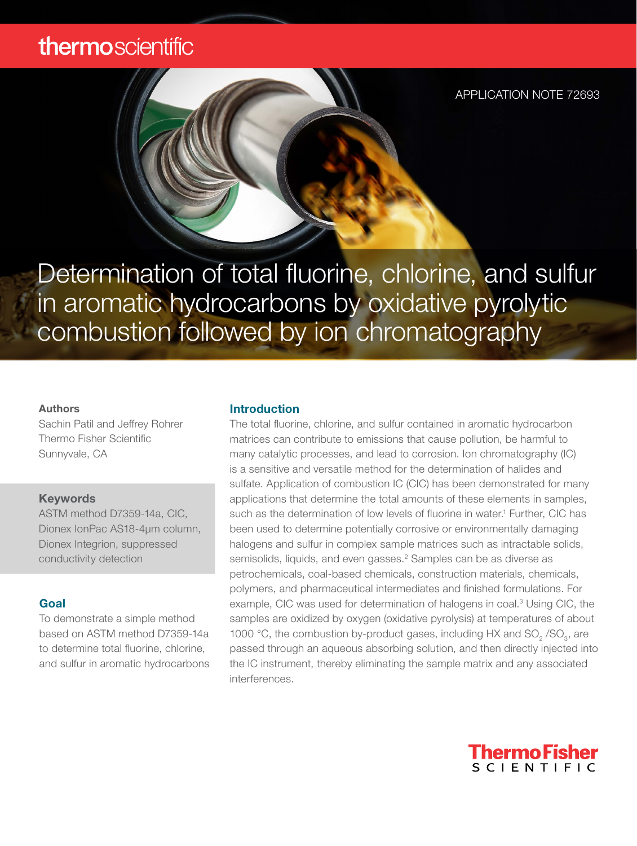# thermoscientific



APPLICATION NOTE 72693

Determination of total fluorine, chlorine, and sulfur in aromatic hydrocarbons by oxidative pyrolytic combustion followed by ion chromatography

#### Authors

Sachin Patil and Jeffrey Rohrer Thermo Fisher Scientific Sunnyvale, CA

#### Keywords

ASTM method D7359-14a, CIC, Dionex IonPac AS18-4μm column, Dionex Integrion, suppressed conductivity detection

#### Goal

To demonstrate a simple method based on ASTM method D7359-14a to determine total fluorine, chlorine, and sulfur in aromatic hydrocarbons

# Introduction

The total fluorine, chlorine, and sulfur contained in aromatic hydrocarbon matrices can contribute to emissions that cause pollution, be harmful to many catalytic processes, and lead to corrosion. Ion chromatography (IC) is a sensitive and versatile method for the determination of halides and sulfate. Application of combustion IC (CIC) has been demonstrated for many applications that determine the total amounts of these elements in samples, such as the determination of low levels of fluorine in water.<sup>1</sup> Further, CIC has been used to determine potentially corrosive or environmentally damaging halogens and sulfur in complex sample matrices such as intractable solids, semisolids, liquids, and even gasses.<sup>2</sup> Samples can be as diverse as petrochemicals, coal-based chemicals, construction materials, chemicals, polymers, and pharmaceutical intermediates and finished formulations. For example, CIC was used for determination of halogens in coal.<sup>3</sup> Using CIC, the samples are oxidized by oxygen (oxidative pyrolysis) at temperatures of about 1000 °C, the combustion by-product gases, including HX and  $SO_2/SO_3$ , are passed through an aqueous absorbing solution, and then directly injected into the IC instrument, thereby eliminating the sample matrix and any associated interferences.

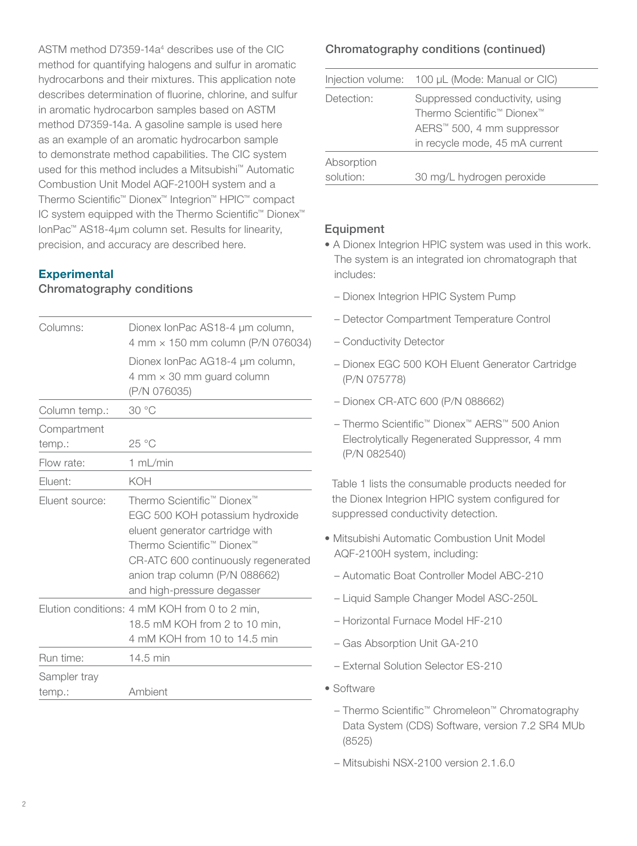ASTM method D7359-14a<sup>4</sup> describes use of the CIC method for quantifying halogens and sulfur in aromatic hydrocarbons and their mixtures. This application note describes determination of fluorine, chlorine, and sulfur in aromatic hydrocarbon samples based on ASTM method D7359-14a. A gasoline sample is used here as an example of an aromatic hydrocarbon sample to demonstrate method capabilities. The CIC system used for this method includes a Mitsubishi™ Automatic Combustion Unit Model AQF-2100H system and a Thermo Scientific™ Dionex™ Integrion™ HPIC™ compact IC system equipped with the Thermo Scientific™ Dionex™ IonPac™ AS18-4μm column set. Results for linearity, precision, and accuracy are described here.

# **Experimental**

# Chromatography conditions

| Columns:               | Dionex IonPac AS18-4 µm column,<br>4 mm × 150 mm column (P/N 076034)                                                                                                                                                                                                                  |
|------------------------|---------------------------------------------------------------------------------------------------------------------------------------------------------------------------------------------------------------------------------------------------------------------------------------|
|                        | Dionex IonPac AG18-4 µm column,<br>4 mm × 30 mm guard column<br>(P/N 076035)                                                                                                                                                                                                          |
| Column temp.:          | 30 °C                                                                                                                                                                                                                                                                                 |
| Compartment<br>temp.:  | 25°C                                                                                                                                                                                                                                                                                  |
| Flow rate:             | 1 $mL/min$                                                                                                                                                                                                                                                                            |
| Eluent:                | KOH                                                                                                                                                                                                                                                                                   |
| Eluent source:         | Thermo Scientific <sup>™</sup> Dionex <sup>™</sup><br>EGC 500 KOH potassium hydroxide<br>eluent generator cartridge with<br>Thermo Scientific <sup>™</sup> Dionex <sup>™</sup><br>CR-ATC 600 continuously regenerated<br>anion trap column (P/N 088662)<br>and high-pressure degasser |
|                        | Elution conditions: 4 mM KOH from 0 to 2 min,<br>18.5 mM KOH from 2 to 10 min,<br>4 mM KOH from 10 to 14.5 min                                                                                                                                                                        |
| Run time:              | 14.5 min                                                                                                                                                                                                                                                                              |
| Sampler tray<br>temp.: | Ambient                                                                                                                                                                                                                                                                               |

# Chromatography conditions (continued)

| Injection volume:       | 100 µL (Mode: Manual or CIC)                                                                                                   |
|-------------------------|--------------------------------------------------------------------------------------------------------------------------------|
| Detection:              | Suppressed conductivity, using<br>Thermo Scientific <sup>™</sup> Dionex <sup>™</sup><br>AERS <sup>™</sup> 500, 4 mm suppressor |
|                         | in recycle mode, 45 mA current                                                                                                 |
| Absorption<br>solution: | 30 mg/L hydrogen peroxide                                                                                                      |

# Equipment

- A Dionex Integrion HPIC system was used in this work. The system is an integrated ion chromatograph that includes:
	- Dionex Integrion HPIC System Pump
	- Detector Compartment Temperature Control
	- Conductivity Detector
	- Dionex EGC 500 KOH Eluent Generator Cartridge (P/N 075778)
	- Dionex CR-ATC 600 (P/N 088662)
	- Thermo Scientific™ Dionex™ AERS™ 500 Anion Electrolytically Regenerated Suppressor, 4 mm (P/N 082540)

Table 1 lists the consumable products needed for the Dionex Integrion HPIC system configured for suppressed conductivity detection.

- Mitsubishi Automatic Combustion Unit Model AQF-2100H system, including:
	- Automatic Boat Controller Model ABC-210
	- Liquid Sample Changer Model ASC-250L
	- Horizontal Furnace Model HF-210
	- Gas Absorption Unit GA-210
	- External Solution Selector ES-210
- Software
	- Thermo Scientific™ Chromeleon™ Chromatography Data System (CDS) Software, version 7.2 SR4 MUb (8525)
	- Mitsubishi NSX-2100 version 2.1.6.0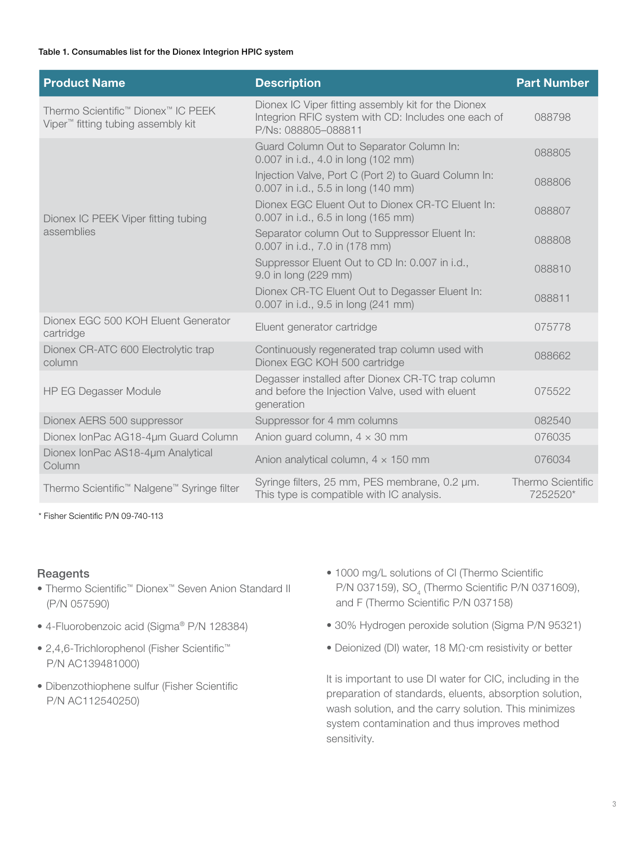| <b>Product Name</b>                                                                                          | <b>Description</b>                                                                                                                | <b>Part Number</b>            |
|--------------------------------------------------------------------------------------------------------------|-----------------------------------------------------------------------------------------------------------------------------------|-------------------------------|
| Thermo Scientific <sup>™</sup> Dionex <sup>™</sup> IC PEEK<br>Viper <sup>™</sup> fitting tubing assembly kit | Dionex IC Viper fitting assembly kit for the Dionex<br>Integrion RFIC system with CD: Includes one each of<br>P/Ns: 088805-088811 | 088798                        |
|                                                                                                              | Guard Column Out to Separator Column In:<br>0.007 in i.d., 4.0 in long (102 mm)                                                   | 088805                        |
|                                                                                                              | Injection Valve, Port C (Port 2) to Guard Column In:<br>0.007 in i.d., 5.5 in long (140 mm)                                       | 088806                        |
| Dionex IC PEEK Viper fitting tubing                                                                          | Dionex EGC Eluent Out to Dionex CR-TC Eluent In:<br>0.007 in i.d., 6.5 in long (165 mm)                                           | 088807                        |
| assemblies                                                                                                   | Separator column Out to Suppressor Eluent In:<br>0.007 in i.d., 7.0 in (178 mm)                                                   | 088808                        |
|                                                                                                              | Suppressor Eluent Out to CD In: 0.007 in i.d.,<br>9.0 in long (229 mm)                                                            | 088810                        |
|                                                                                                              | Dionex CR-TC Eluent Out to Degasser Eluent In:<br>0.007 in i.d., 9.5 in long (241 mm)                                             | 088811                        |
| Dionex EGC 500 KOH Eluent Generator<br>cartridge                                                             | Eluent generator cartridge                                                                                                        | 075778                        |
| Dionex CR-ATC 600 Electrolytic trap<br>column                                                                | Continuously regenerated trap column used with<br>Dionex EGC KOH 500 cartridge                                                    | 088662                        |
| <b>HP EG Degasser Module</b>                                                                                 | Degasser installed after Dionex CR-TC trap column<br>and before the Injection Valve, used with eluent<br>generation               | 075522                        |
| Dionex AERS 500 suppressor                                                                                   | Suppressor for 4 mm columns                                                                                                       | 082540                        |
| Dionex IonPac AG18-4um Guard Column                                                                          | Anion guard column, $4 \times 30$ mm                                                                                              | 076035                        |
| Dionex IonPac AS18-4um Analytical<br>Column                                                                  | Anion analytical column, $4 \times 150$ mm                                                                                        | 076034                        |
| Thermo Scientific <sup>™</sup> Nalgene <sup>™</sup> Syringe filter                                           | Syringe filters, 25 mm, PES membrane, 0.2 µm.<br>This type is compatible with IC analysis.                                        | Thermo Scientific<br>7252520* |

\* Fisher Scientific P/N 09-740-113

# **Reagents**

- Thermo Scientific™ Dionex™ Seven Anion Standard II (P/N 057590)
- 4-Fluorobenzoic acid (Sigma® P/N 128384)
- 2,4,6-Trichlorophenol (Fisher Scientific™ P/N AC139481000)
- Dibenzothiophene sulfur (Fisher Scientific P/N AC112540250)
- 1000 mg/L solutions of Cl (Thermo Scientific  $P/N$  037159), SO<sub>4</sub> (Thermo Scientific P/N 0371609), and F (Thermo Scientific P/N 037158)
- 30% Hydrogen peroxide solution (Sigma P/N 95321)
- Deionized (DI) water, 18 MΩ∙cm resistivity or better

It is important to use DI water for CIC, including in the preparation of standards, eluents, absorption solution, wash solution, and the carry solution. This minimizes system contamination and thus improves method sensitivity.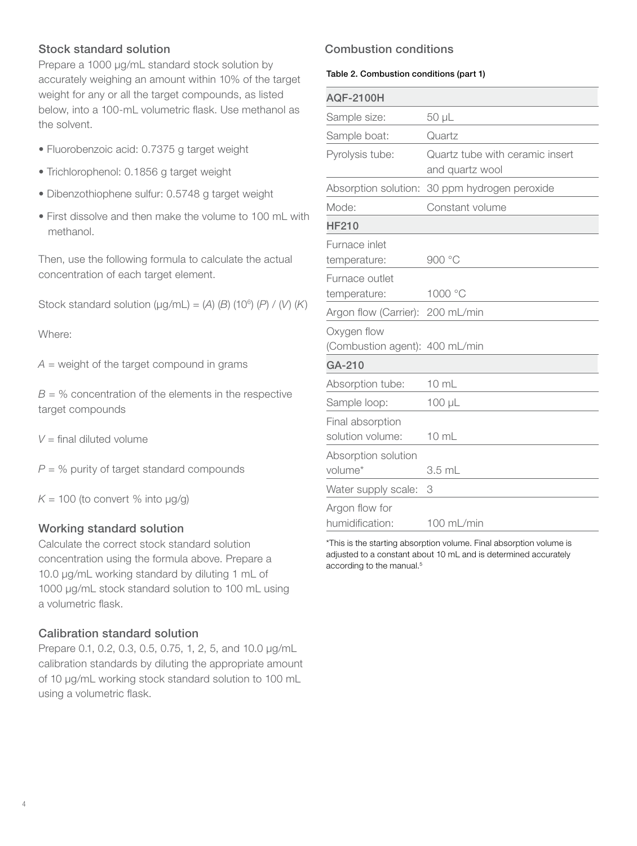# Stock standard solution

Prepare a 1000 µg/mL standard stock solution by accurately weighing an amount within 10% of the target weight for any or all the target compounds, as listed below, into a 100-mL volumetric flask. Use methanol as the solvent.

- Fluorobenzoic acid: 0.7375 g target weight
- Trichlorophenol: 0.1856 g target weight
- Dibenzothiophene sulfur: 0.5748 g target weight
- First dissolve and then make the volume to 100 mL with methanol.

Then, use the following formula to calculate the actual concentration of each target element.

Stock standard solution  $(\mu q/mL) = (A) (B) (10^6) (P) / (V) (K)$ 

Where:

*A* = weight of the target compound in grams

 $B = \%$  concentration of the elements in the respective target compounds

 $V =$  final diluted volume

*P* = % purity of target standard compounds

 $K = 100$  (to convert % into  $\mu$ g/g)

## Working standard solution

Calculate the correct stock standard solution concentration using the formula above. Prepare a 10.0 µg/mL working standard by diluting 1 mL of 1000 µg/mL stock standard solution to 100 mL using a volumetric flask.

# Calibration standard solution

Prepare 0.1, 0.2, 0.3, 0.5, 0.75, 1, 2, 5, and 10.0 µg/mL calibration standards by diluting the appropriate amount of 10 µg/mL working stock standard solution to 100 mL using a volumetric flask.

# Combustion conditions

#### Table 2. Combustion conditions (part 1)

| <b>AQF-2100H</b>                              |                                                    |
|-----------------------------------------------|----------------------------------------------------|
| Sample size:                                  | 50 µL                                              |
| Sample boat:                                  | Quartz                                             |
| Pyrolysis tube:                               | Quartz tube with ceramic insert<br>and quartz wool |
| Absorption solution:                          | 30 ppm hydrogen peroxide                           |
| Mode:                                         | Constant volume                                    |
| <b>HF210</b>                                  |                                                    |
| Furnace inlet<br>temperature:                 | 900 °C                                             |
| Furnace outlet<br>temperature:                | 1000 °C                                            |
| Argon flow (Carrier):                         | 200 mL/min                                         |
| Oxygen flow<br>(Combustion agent): 400 mL/min |                                                    |
| GA-210                                        |                                                    |
| Absorption tube:                              | $10 \text{ mL}$                                    |
| Sample loop:                                  | $100 \mu L$                                        |
| Final absorption<br>solution volume:          | 10 mL                                              |
| Absorption solution<br>volume*                | $3.5$ mL                                           |
| Water supply scale:                           | 3                                                  |
| Argon flow for<br>humidification:             | 100 mL/min                                         |

\*This is the starting absorption volume. Final absorption volume is adjusted to a constant about 10 mL and is determined accurately according to the manual.<sup>5</sup>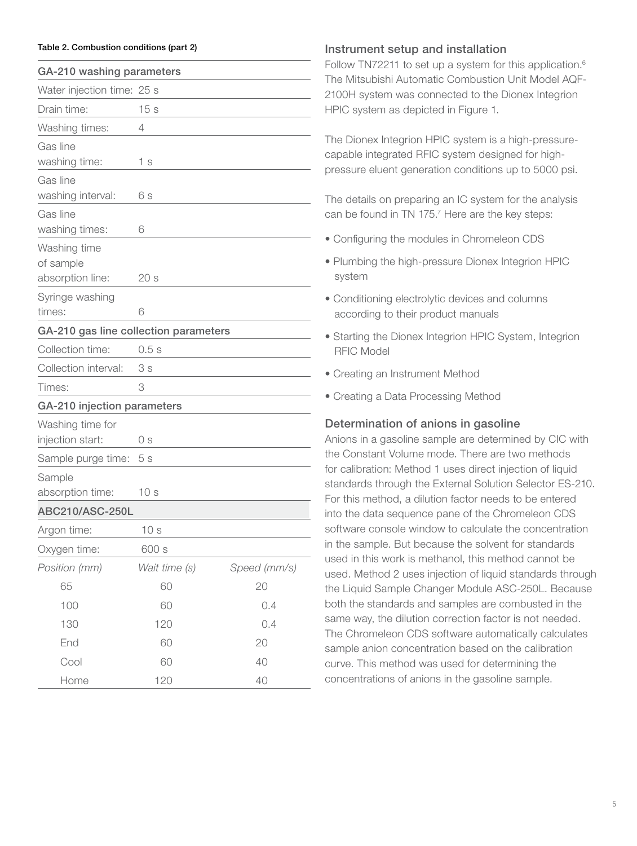#### Table 2. Combustion conditions (part 2)

| GA-210 washing parameters                     |                 |              |  |  |  |  |
|-----------------------------------------------|-----------------|--------------|--|--|--|--|
| Water injection time: 25 s                    |                 |              |  |  |  |  |
| Drain time:                                   | 15s             |              |  |  |  |  |
| Washing times:                                | 4               |              |  |  |  |  |
| Gas line<br>washing time:                     | 1 s             |              |  |  |  |  |
| Gas line<br>washing interval:                 | 6 s             |              |  |  |  |  |
| Gas line<br>washing times:                    | 6               |              |  |  |  |  |
| Washing time<br>of sample<br>absorption line: | 20 <sub>s</sub> |              |  |  |  |  |
| Syringe washing<br>times:                     | 6               |              |  |  |  |  |
| GA-210 gas line collection parameters         |                 |              |  |  |  |  |
| Collection time:                              | 0.5s            |              |  |  |  |  |
| Collection interval:                          | 3s              |              |  |  |  |  |
| Times:                                        | 3               |              |  |  |  |  |
| GA-210 injection parameters                   |                 |              |  |  |  |  |
| Washing time for<br>injection start:          | 0 s             |              |  |  |  |  |
| Sample purge time:                            | 5s              |              |  |  |  |  |
| Sample<br>absorption time:                    | 10 <sub>s</sub> |              |  |  |  |  |
| <b>ABC210/ASC-250L</b>                        |                 |              |  |  |  |  |
| Argon time:                                   | 10 s            |              |  |  |  |  |
| Oxygen time:                                  | 600 s           |              |  |  |  |  |
| Position (mm)                                 | Wait time (s)   | Speed (mm/s) |  |  |  |  |
| 65                                            | 60              | 20           |  |  |  |  |
| 100                                           | 60              | 0.4          |  |  |  |  |
| 130                                           | 120             | 0.4          |  |  |  |  |
| End                                           | 60              | 20           |  |  |  |  |
| Cool                                          | 60              | 40           |  |  |  |  |
| Home                                          | 120             | 40           |  |  |  |  |

# Instrument setup and installation

Follow TN72211 to set up a system for this application.<sup>6</sup> The Mitsubishi Automatic Combustion Unit Model AQF-2100H system was connected to the Dionex Integrion HPIC system as depicted in Figure 1.

The Dionex Integrion HPIC system is a high-pressurecapable integrated RFIC system designed for highpressure eluent generation conditions up to 5000 psi.

The details on preparing an IC system for the analysis can be found in TN 175.7 Here are the key steps:

- Configuring the modules in Chromeleon CDS
- Plumbing the high-pressure Dionex Integrion HPIC system
- Conditioning electrolytic devices and columns according to their product manuals
- Starting the Dionex Integrion HPIC System, Integrion RFIC Model
- Creating an Instrument Method
- Creating a Data Processing Method

## Determination of anions in gasoline

Anions in a gasoline sample are determined by CIC with the Constant Volume mode. There are two methods for calibration: Method 1 uses direct injection of liquid standards through the External Solution Selector ES-210. For this method, a dilution factor needs to be entered into the data sequence pane of the Chromeleon CDS software console window to calculate the concentration in the sample. But because the solvent for standards used in this work is methanol, this method cannot be used. Method 2 uses injection of liquid standards through the Liquid Sample Changer Module ASC-250L. Because both the standards and samples are combusted in the same way, the dilution correction factor is not needed. The Chromeleon CDS software automatically calculates sample anion concentration based on the calibration curve. This method was used for determining the concentrations of anions in the gasoline sample.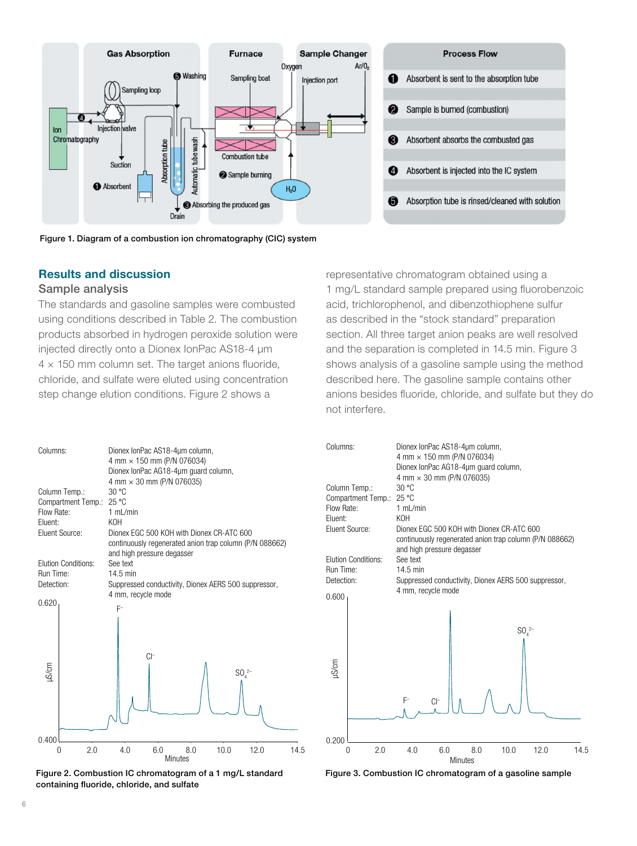

Figure 1. Diagram of a combustion ion chromatography (CIC) system

## Results and discussion

#### Sample analysis

The standards and gasoline samples were combusted using conditions described in Table 2. The combustion products absorbed in hydrogen peroxide solution were injected directly onto a Dionex IonPac AS18-4 µm  $4 \times 150$  mm column set. The target anions fluoride, chloride, and sulfate were eluted using concentration step change elution conditions. Figure 2 shows a

| Columns:                   | Dionex IonPac AS18-4um column,<br>4 mm × 150 mm (P/N 076034)<br>Dionex IonPac AG18-4µm guard column,<br>4 mm $\times$ 30 mm (P/N 076035) |
|----------------------------|------------------------------------------------------------------------------------------------------------------------------------------|
| Column Temp.:              | 30 °C                                                                                                                                    |
| Compartment Temp.:         | 25 °C                                                                                                                                    |
| Flow Rate:                 | 1 mL/min                                                                                                                                 |
| Eluent:                    | KOH                                                                                                                                      |
| Eluent Source:             | Dionex EGC 500 KOH with Dionex CR-ATC 600                                                                                                |
|                            | continuously regenerated anion trap column (P/N 088662)<br>and high pressure degasser                                                    |
| <b>Elution Conditions:</b> | See text                                                                                                                                 |
| Run Time:                  | 14.5 min                                                                                                                                 |
| Detection:                 | Suppressed conductivity, Dionex AERS 500 suppressor,                                                                                     |
|                            | 4 mm, recycle mode                                                                                                                       |
| 0.620                      | $F^-$                                                                                                                                    |
| µS/cm                      | $Cl^-$<br>$SO_4^{2-}$                                                                                                                    |
| 0.400                      |                                                                                                                                          |
| 2.0<br>0                   | 4.0<br>10.0<br>6.0<br>8.0<br>12.0<br>14.5<br><b>Minutes</b>                                                                              |

Figure 2. Combustion IC chromatogram of a 1 mg/L standard containing fluoride, chloride, and sulfate

representative chromatogram obtained using a 1 mg/L standard sample prepared using fluorobenzoic acid, trichlorophenol, and dibenzothiophene sulfur as described in the "stock standard" preparation section. All three target anion peaks are well resolved and the separation is completed in 14.5 min. Figure 3 shows analysis of a gasoline sample using the method described here. The gasoline sample contains other anions besides fluoride, chloride, and sulfate but they do not interfere.

| Columns:                                                                       | Dionex IonPac AS18-4um column,<br>4 mm × 150 mm (P/N 076034)<br>Dionex IonPac AG18-4um quard column,                                                                   |
|--------------------------------------------------------------------------------|------------------------------------------------------------------------------------------------------------------------------------------------------------------------|
| Column Temp.:<br>Compartment Temp.:<br>Flow Rate:<br>Eluent:<br>Eluent Source: | 4 mm × 30 mm (P/N 076035)<br>30 °C<br>25 °C<br>1 mL/min<br>KOH<br>Dionex EGC 500 KOH with Dionex CR-ATC 600<br>continuously regenerated anion trap column (P/N 088662) |
| Elution Conditions:<br>Run Time:<br>Detection:<br>0.600                        | and high pressure degasser<br>See text<br>$14.5$ min<br>Suppressed conductivity, Dionex AERS 500 suppressor,<br>4 mm, recycle mode                                     |
| <b>uS/cm</b>                                                                   | SO <sub>4</sub> <sup>2–</sup><br>$F^-$<br>$Cl^-$                                                                                                                       |
| 0.200<br>2.0<br>0                                                              | 4.0<br>6.0<br>10.0<br>12.0<br>14.5<br>8.0<br><b>Minutes</b>                                                                                                            |

Figure 3. Combustion IC chromatogram of a gasoline sample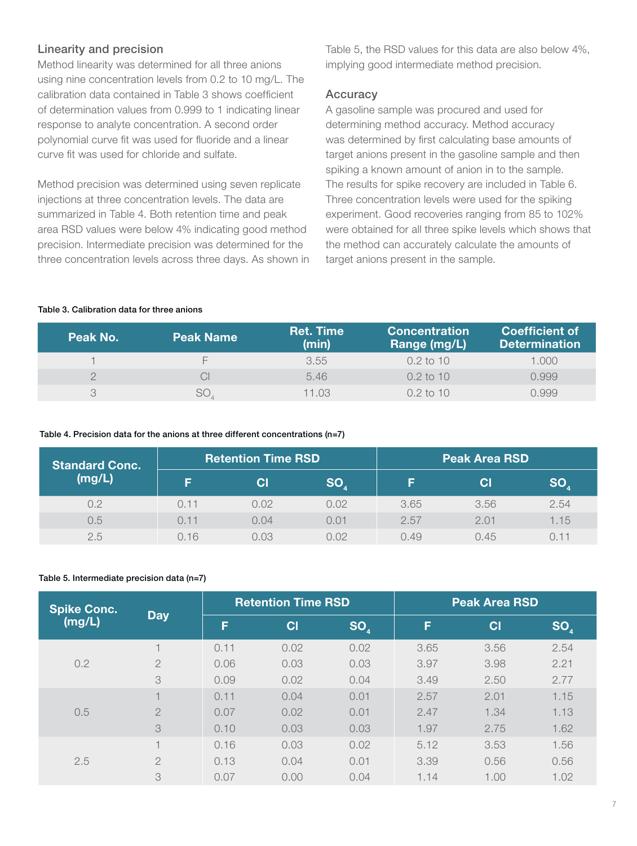# Linearity and precision

Method linearity was determined for all three anions using nine concentration levels from 0.2 to 10 mg/L. The calibration data contained in Table 3 shows coefficient of determination values from 0.999 to 1 indicating linear response to analyte concentration. A second order polynomial curve fit was used for fluoride and a linear curve fit was used for chloride and sulfate.

Method precision was determined using seven replicate injections at three concentration levels. The data are summarized in Table 4. Both retention time and peak area RSD values were below 4% indicating good method precision. Intermediate precision was determined for the three concentration levels across three days. As shown in Table 5, the RSD values for this data are also below 4%, implying good intermediate method precision.

## Accuracy

A gasoline sample was procured and used for determining method accuracy. Method accuracy was determined by first calculating base amounts of target anions present in the gasoline sample and then spiking a known amount of anion in to the sample. The results for spike recovery are included in Table 6. Three concentration levels were used for the spiking experiment. Good recoveries ranging from 85 to 102% were obtained for all three spike levels which shows that the method can accurately calculate the amounts of target anions present in the sample.

# Table 3. Calibration data for three anions

| Peak No. | <b>Peak Name</b> | <b>Ret. Time</b><br>(min) | <b>Concentration</b><br>Range (mg/L) | <b>Coefficient of</b><br><b>Determination</b> |
|----------|------------------|---------------------------|--------------------------------------|-----------------------------------------------|
|          |                  | 3.55                      | $0.2 \text{ to } 10$                 | 1.000                                         |
|          | CI               | 5.46                      | $0.2$ to 10                          | 0.999                                         |
|          | SO               | 11.03                     | $0.2$ to 10                          | 0.999                                         |

#### Table 4. Precision data for the anions at three different concentrations (n=7)

| <b>Standard Conc.</b> |      | <b>Retention Time RSD</b> |              | <b>Peak Area RSD</b> |      |           |
|-----------------------|------|---------------------------|--------------|----------------------|------|-----------|
| (mg/L)                | ی    | Cl                        | $ SO\rangle$ |                      | CI   | <b>SO</b> |
| 0.2                   | ገ 11 | 0.02                      | 0.02         | 3.65                 | 3.56 | 2.54      |
| 0.5                   | 0.11 | 0.04                      | 0.01         | 2.57                 | 2.01 | 1.15      |
| 2.5                   | า 16 | 0.03                      | 0.02         | 0.49                 | 0.45 | 7 11      |

#### Table 5. Intermediate precision data (n=7)

| <b>Spike Conc.</b><br>(mg/L) | <b>Day</b>               |      | <b>Retention Time RSD</b> |                 |      | <b>Peak Area RSD</b> |          |  |
|------------------------------|--------------------------|------|---------------------------|-----------------|------|----------------------|----------|--|
|                              |                          | F    | CI                        | SO <sub>4</sub> | F    | CI                   | $SO_{4}$ |  |
|                              | $\overline{\mathcal{L}}$ | 0.11 | 0.02                      | 0.02            | 3.65 | 3.56                 | 2.54     |  |
| 0.2                          | $\overline{2}$           | 0.06 | 0.03                      | 0.03            | 3.97 | 3.98                 | 2.21     |  |
|                              | 3                        | 0.09 | 0.02                      | 0.04            | 3.49 | 2.50                 | 2.77     |  |
| 0.5                          | 1                        | 0.11 | 0.04                      | 0.01            | 2.57 | 2.01                 | 1.15     |  |
|                              | $\overline{2}$           | 0.07 | 0.02                      | 0.01            | 2.47 | 1.34                 | 1.13     |  |
|                              | 3                        | 0.10 | 0.03                      | 0.03            | 1.97 | 2.75                 | 1.62     |  |
| 2.5                          | $\overline{\phantom{a}}$ | 0.16 | 0.03                      | 0.02            | 5.12 | 3.53                 | 1.56     |  |
|                              | $\overline{2}$           | 0.13 | 0.04                      | 0.01            | 3.39 | 0.56                 | 0.56     |  |
|                              | 3                        | 0.07 | 0.00                      | 0.04            | 1.14 | 1.00                 | 1.02     |  |